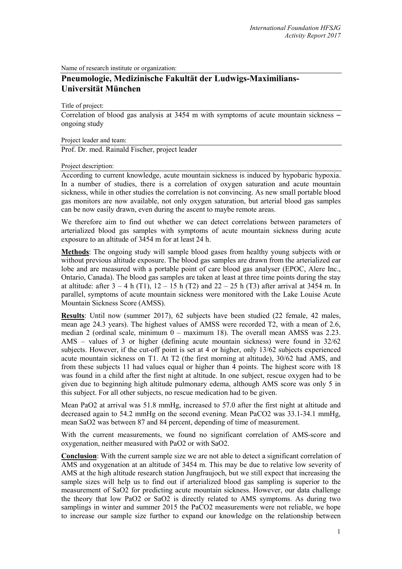Name of research institute or organization:

## **Pneumologie, Medizinische Fakultät der Ludwigs-Maximilians-Universität München**

Title of project:

Correlation of blood gas analysis at 3454 m with symptoms of acute mountain sickness – ongoing study

Project leader and team:

Prof. Dr. med. Rainald Fischer, project leader

## Project description:

According to current knowledge, acute mountain sickness is induced by hypobaric hypoxia. In a number of studies, there is a correlation of oxygen saturation and acute mountain sickness, while in other studies the correlation is not convincing. As new small portable blood gas monitors are now available, not only oxygen saturation, but arterial blood gas samples can be now easily drawn, even during the ascent to maybe remote areas.

We therefore aim to find out whether we can detect correlations between parameters of arterialized blood gas samples with symptoms of acute mountain sickness during acute exposure to an altitude of 3454 m for at least 24 h.

**Methods**: The ongoing study will sample blood gases from healthy young subjects with or without previous altitude exposure. The blood gas samples are drawn from the arterialized ear lobe and are measured with a portable point of care blood gas analyser (EPOC, Alere Inc., Ontario, Canada). The blood gas samples are taken at least at three time points during the stay at altitude: after  $3 - 4$  h (T1),  $12 - 15$  h (T2) and  $22 - 25$  h (T3) after arrival at 3454 m. In parallel, symptoms of acute mountain sickness were monitored with the Lake Louise Acute Mountain Sickness Score (AMSS).

**Results**: Until now (summer 2017), 62 subjects have been studied (22 female, 42 males, mean age 24.3 years). The highest values of AMSS were recorded T2, with a mean of 2.6, median 2 (ordinal scale, minimum 0 – maximum 18). The overall mean AMSS was 2.23. AMS – values of 3 or higher (defining acute mountain sickness) were found in 32/62 subjects. However, if the cut-off point is set at 4 or higher, only 13/62 subjects experienced acute mountain sickness on T1. At T2 (the first morning at altitude), 30/62 had AMS, and from these subjects 11 had values equal or higher than 4 points. The highest score with 18 was found in a child after the first night at altitude. In one subject, rescue oxygen had to be given due to beginning high altitude pulmonary edema, although AMS score was only 5 in this subject. For all other subjects, no rescue medication had to be given.

Mean PaO2 at arrival was 51.8 mmHg, increased to 57.0 after the first night at altitude and decreased again to 54.2 mmHg on the second evening. Mean PaCO2 was 33.1-34.1 mmHg, mean SaO2 was between 87 and 84 percent, depending of time of measurement.

With the current measurements, we found no significant correlation of AMS-score and oxygenation, neither measured with PaO2 or with SaO2.

**Conclusion**: With the current sample size we are not able to detect a significant correlation of AMS and oxygenation at an altitude of 3454 m. This may be due to relative low severity of AMS at the high altitude research station Jungfraujoch, but we still expect that increasing the sample sizes will help us to find out if arterialized blood gas sampling is superior to the measurement of SaO2 for predicting acute mountain sickness. However, our data challenge the theory that low PaO2 or SaO2 is directly related to AMS symptoms. As during two samplings in winter and summer 2015 the PaCO2 measurements were not reliable, we hope to increase our sample size further to expand our knowledge on the relationship between